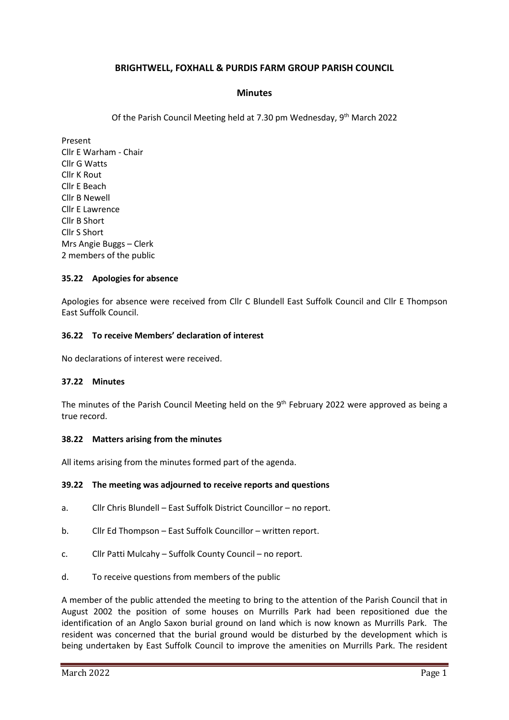# **BRIGHTWELL, FOXHALL & PURDIS FARM GROUP PARISH COUNCIL**

### **Minutes**

Of the Parish Council Meeting held at 7.30 pm Wednesday, 9<sup>th</sup> March 2022

Present Cllr E Warham - Chair Cllr G Watts Cllr K Rout Cllr E Beach Cllr B Newell Cllr E Lawrence Cllr B Short Cllr S Short Mrs Angie Buggs – Clerk 2 members of the public

### **35.22 Apologies for absence**

Apologies for absence were received from Cllr C Blundell East Suffolk Council and Cllr E Thompson East Suffolk Council.

# **36.22 To receive Members' declaration of interest**

No declarations of interest were received.

#### **37.22 Minutes**

The minutes of the Parish Council Meeting held on the 9<sup>th</sup> February 2022 were approved as being a true record.

#### **38.22 Matters arising from the minutes**

All items arising from the minutes formed part of the agenda.

#### **39.22 The meeting was adjourned to receive reports and questions**

- a. Cllr Chris Blundell East Suffolk District Councillor no report.
- b. Cllr Ed Thompson East Suffolk Councillor written report.
- c. Cllr Patti Mulcahy Suffolk County Council no report.
- d. To receive questions from members of the public

A member of the public attended the meeting to bring to the attention of the Parish Council that in August 2002 the position of some houses on Murrills Park had been repositioned due the identification of an Anglo Saxon burial ground on land which is now known as Murrills Park. The resident was concerned that the burial ground would be disturbed by the development which is being undertaken by East Suffolk Council to improve the amenities on Murrills Park. The resident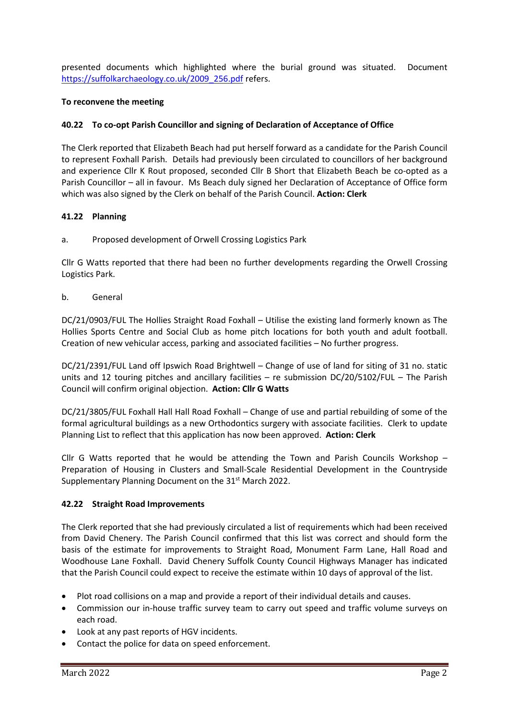presented documents which highlighted where the burial ground was situated. Document [https://suffolkarchaeology.co.uk/2009\\_256.pdf](https://suffolkarchaeology.co.uk/2009_256.pdf) refers.

### **To reconvene the meeting**

### **40.22 To co-opt Parish Councillor and signing of Declaration of Acceptance of Office**

The Clerk reported that Elizabeth Beach had put herself forward as a candidate for the Parish Council to represent Foxhall Parish. Details had previously been circulated to councillors of her background and experience Cllr K Rout proposed, seconded Cllr B Short that Elizabeth Beach be co-opted as a Parish Councillor – all in favour. Ms Beach duly signed her Declaration of Acceptance of Office form which was also signed by the Clerk on behalf of the Parish Council. **Action: Clerk**

### **41.22 Planning**

a. Proposed development of Orwell Crossing Logistics Park

Cllr G Watts reported that there had been no further developments regarding the Orwell Crossing Logistics Park.

b. General

DC/21/0903/FUL The Hollies Straight Road Foxhall – Utilise the existing land formerly known as The Hollies Sports Centre and Social Club as home pitch locations for both youth and adult football. Creation of new vehicular access, parking and associated facilities – No further progress.

DC/21/2391/FUL Land off Ipswich Road Brightwell – Change of use of land for siting of 31 no. static units and 12 touring pitches and ancillary facilities – re submission DC/20/5102/FUL – The Parish Council will confirm original objection. **Action: Cllr G Watts**

DC/21/3805/FUL Foxhall Hall Hall Road Foxhall – Change of use and partial rebuilding of some of the formal agricultural buildings as a new Orthodontics surgery with associate facilities. Clerk to update Planning List to reflect that this application has now been approved. **Action: Clerk**

Cllr G Watts reported that he would be attending the Town and Parish Councils Workshop  $-$ Preparation of Housing in Clusters and Small-Scale Residential Development in the Countryside Supplementary Planning Document on the 31<sup>st</sup> March 2022.

#### **42.22 Straight Road Improvements**

The Clerk reported that she had previously circulated a list of requirements which had been received from David Chenery. The Parish Council confirmed that this list was correct and should form the basis of the estimate for improvements to Straight Road, Monument Farm Lane, Hall Road and Woodhouse Lane Foxhall. David Chenery Suffolk County Council Highways Manager has indicated that the Parish Council could expect to receive the estimate within 10 days of approval of the list.

- Plot road collisions on a map and provide a report of their individual details and causes.
- Commission our in-house traffic survey team to carry out speed and traffic volume surveys on each road.
- Look at any past reports of HGV incidents.
- Contact the police for data on speed enforcement.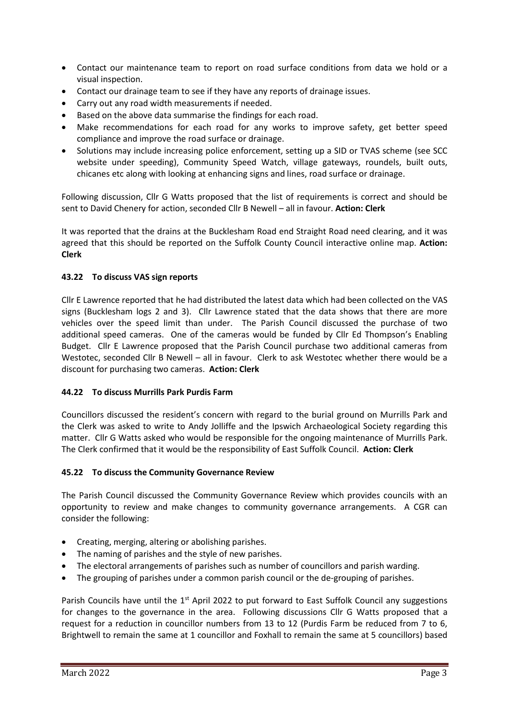- Contact our maintenance team to report on road surface conditions from data we hold or a visual inspection.
- Contact our drainage team to see if they have any reports of drainage issues.
- Carry out any road width measurements if needed.
- Based on the above data summarise the findings for each road.
- Make recommendations for each road for any works to improve safety, get better speed compliance and improve the road surface or drainage.
- Solutions may include increasing police enforcement, setting up a SID or TVAS scheme (see SCC website under speeding), Community Speed Watch, village gateways, roundels, built outs, chicanes etc along with looking at enhancing signs and lines, road surface or drainage.

Following discussion, Cllr G Watts proposed that the list of requirements is correct and should be sent to David Chenery for action, seconded Cllr B Newell – all in favour. **Action: Clerk**

It was reported that the drains at the Bucklesham Road end Straight Road need clearing, and it was agreed that this should be reported on the Suffolk County Council interactive online map. **Action: Clerk**

### **43.22 To discuss VAS sign reports**

Cllr E Lawrence reported that he had distributed the latest data which had been collected on the VAS signs (Bucklesham logs 2 and 3). Cllr Lawrence stated that the data shows that there are more vehicles over the speed limit than under. The Parish Council discussed the purchase of two additional speed cameras. One of the cameras would be funded by Cllr Ed Thompson's Enabling Budget. Cllr E Lawrence proposed that the Parish Council purchase two additional cameras from Westotec, seconded Cllr B Newell – all in favour. Clerk to ask Westotec whether there would be a discount for purchasing two cameras. **Action: Clerk**

#### **44.22 To discuss Murrills Park Purdis Farm**

Councillors discussed the resident's concern with regard to the burial ground on Murrills Park and the Clerk was asked to write to Andy Jolliffe and the Ipswich Archaeological Society regarding this matter. Cllr G Watts asked who would be responsible for the ongoing maintenance of Murrills Park. The Clerk confirmed that it would be the responsibility of East Suffolk Council. **Action: Clerk**

#### **45.22 To discuss the Community Governance Review**

The Parish Council discussed the Community Governance Review which provides councils with an opportunity to review and make changes to community governance arrangements. A CGR can consider the following:

- Creating, merging, altering or abolishing parishes.
- The naming of parishes and the style of new parishes.
- The electoral arrangements of parishes such as number of councillors and parish warding.
- The grouping of parishes under a common parish council or the de-grouping of parishes.

Parish Councils have until the  $1<sup>st</sup>$  April 2022 to put forward to East Suffolk Council any suggestions for changes to the governance in the area. Following discussions Cllr G Watts proposed that a request for a reduction in councillor numbers from 13 to 12 (Purdis Farm be reduced from 7 to 6, Brightwell to remain the same at 1 councillor and Foxhall to remain the same at 5 councillors) based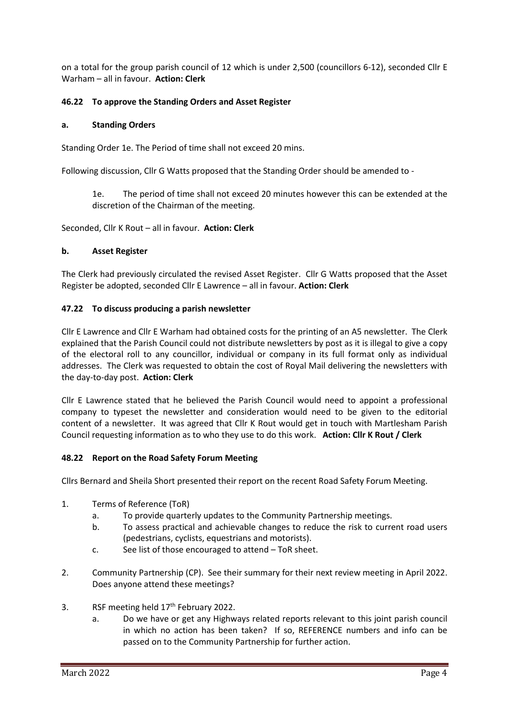on a total for the group parish council of 12 which is under 2,500 (councillors 6-12), seconded Cllr E Warham – all in favour. **Action: Clerk**

### **46.22 To approve the Standing Orders and Asset Register**

#### **a. Standing Orders**

Standing Order 1e. The Period of time shall not exceed 20 mins.

Following discussion, Cllr G Watts proposed that the Standing Order should be amended to -

1e. The period of time shall not exceed 20 minutes however this can be extended at the discretion of the Chairman of the meeting.

Seconded, Cllr K Rout – all in favour. **Action: Clerk**

#### **b. Asset Register**

The Clerk had previously circulated the revised Asset Register. Cllr G Watts proposed that the Asset Register be adopted, seconded Cllr E Lawrence – all in favour. **Action: Clerk**

#### **47.22 To discuss producing a parish newsletter**

Cllr E Lawrence and Cllr E Warham had obtained costs for the printing of an A5 newsletter. The Clerk explained that the Parish Council could not distribute newsletters by post as it is illegal to give a copy of the electoral roll to any councillor, individual or company in its full format only as individual addresses. The Clerk was requested to obtain the cost of Royal Mail delivering the newsletters with the day-to-day post. **Action: Clerk**

Cllr E Lawrence stated that he believed the Parish Council would need to appoint a professional company to typeset the newsletter and consideration would need to be given to the editorial content of a newsletter. It was agreed that Cllr K Rout would get in touch with Martlesham Parish Council requesting information as to who they use to do this work. **Action: Cllr K Rout / Clerk**

#### **48.22 Report on the Road Safety Forum Meeting**

Cllrs Bernard and Sheila Short presented their report on the recent Road Safety Forum Meeting.

- 1. Terms of Reference (ToR)
	- a. To provide quarterly updates to the Community Partnership meetings.
	- b. To assess practical and achievable changes to reduce the risk to current road users (pedestrians, cyclists, equestrians and motorists).
	- c. See list of those encouraged to attend ToR sheet.
- 2. Community Partnership (CP). See their summary for their next review meeting in April 2022. Does anyone attend these meetings?
- 3. RSF meeting held  $17<sup>th</sup>$  February 2022.
	- a. Do we have or get any Highways related reports relevant to this joint parish council in which no action has been taken? If so, REFERENCE numbers and info can be passed on to the Community Partnership for further action.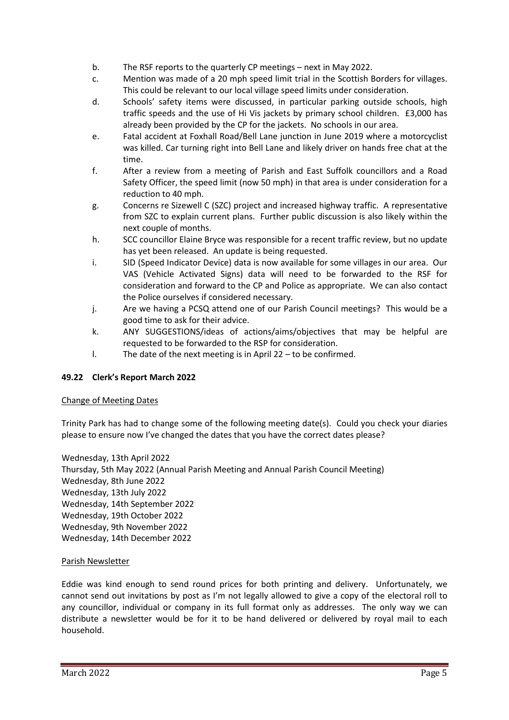- b. The RSF reports to the quarterly CP meetings next in May 2022.
- c. Mention was made of a 20 mph speed limit trial in the Scottish Borders for villages. This could be relevant to our local village speed limits under consideration.
- d. Schools' safety items were discussed, in particular parking outside schools, high traffic speeds and the use of Hi Vis jackets by primary school children. £3,000 has already been provided by the CP for the jackets. No schools in our area.
- e. Fatal accident at Foxhall Road/Bell Lane junction in June 2019 where a motorcyclist was killed. Car turning right into Bell Lane and likely driver on hands free chat at the time.
- f. After a review from a meeting of Parish and East Suffolk councillors and a Road Safety Officer, the speed limit (now 50 mph) in that area is under consideration for a reduction to 40 mph.
- g. Concerns re Sizewell C (SZC) project and increased highway traffic. A representative from SZC to explain current plans. Further public discussion is also likely within the next couple of months.
- h. SCC councillor Elaine Bryce was responsible for a recent traffic review, but no update has yet been released. An update is being requested.
- i. SID (Speed Indicator Device) data is now available for some villages in our area. Our VAS (Vehicle Activated Signs) data will need to be forwarded to the RSF for consideration and forward to the CP and Police as appropriate. We can also contact the Police ourselves if considered necessary.
- j. Are we having a PCSQ attend one of our Parish Council meetings? This would be a good time to ask for their advice.
- k. ANY SUGGESTIONS/ideas of actions/aims/objectives that may be helpful are requested to be forwarded to the RSP for consideration.
- l. The date of the next meeting is in April 22 to be confirmed.

# **49.22 Clerk's Report March 2022**

### Change of Meeting Dates

Trinity Park has had to change some of the following meeting date(s). Could you check your diaries please to ensure now I've changed the dates that you have the correct dates please?

Wednesday, 13th April 2022 Thursday, 5th May 2022 (Annual Parish Meeting and Annual Parish Council Meeting) Wednesday, 8th June 2022 Wednesday, 13th July 2022 Wednesday, 14th September 2022 Wednesday, 19th October 2022 Wednesday, 9th November 2022 Wednesday, 14th December 2022

#### Parish Newsletter

Eddie was kind enough to send round prices for both printing and delivery. Unfortunately, we cannot send out invitations by post as I'm not legally allowed to give a copy of the electoral roll to any councillor, individual or company in its full format only as addresses. The only way we can distribute a newsletter would be for it to be hand delivered or delivered by royal mail to each household.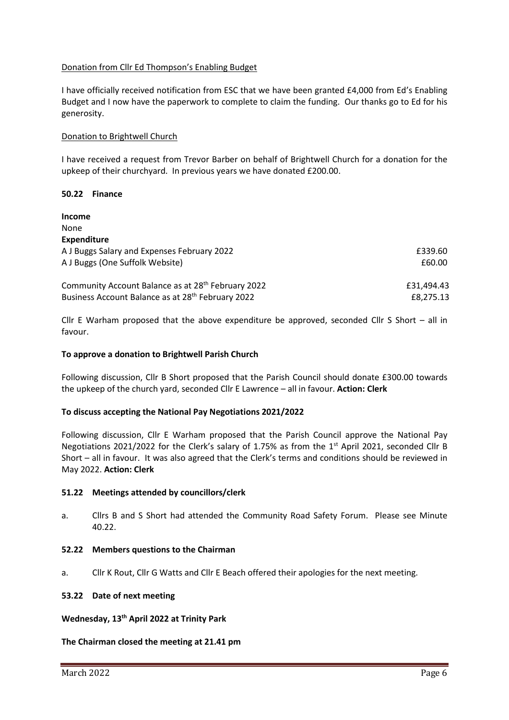### Donation from Cllr Ed Thompson's Enabling Budget

I have officially received notification from ESC that we have been granted £4,000 from Ed's Enabling Budget and I now have the paperwork to complete to claim the funding. Our thanks go to Ed for his generosity.

#### Donation to Brightwell Church

I have received a request from Trevor Barber on behalf of Brightwell Church for a donation for the upkeep of their churchyard. In previous years we have donated £200.00.

#### **50.22 Finance**

| <b>Income</b>                                                  |            |
|----------------------------------------------------------------|------------|
| None                                                           |            |
| <b>Expenditure</b>                                             |            |
| A J Buggs Salary and Expenses February 2022                    | £339.60    |
| A J Buggs (One Suffolk Website)                                | £60.00     |
|                                                                |            |
| Community Account Balance as at 28 <sup>th</sup> February 2022 | £31.494.43 |
| Business Account Balance as at 28 <sup>th</sup> February 2022  | £8,275.13  |

Cllr E Warham proposed that the above expenditure be approved, seconded Cllr S Short – all in favour.

#### **To approve a donation to Brightwell Parish Church**

Following discussion, Cllr B Short proposed that the Parish Council should donate £300.00 towards the upkeep of the church yard, seconded Cllr E Lawrence – all in favour. **Action: Clerk**

#### **To discuss accepting the National Pay Negotiations 2021/2022**

Following discussion, Cllr E Warham proposed that the Parish Council approve the National Pay Negotiations 2021/2022 for the Clerk's salary of 1.75% as from the 1<sup>st</sup> April 2021, seconded Cllr B Short – all in favour. It was also agreed that the Clerk's terms and conditions should be reviewed in May 2022. **Action: Clerk**

#### **51.22 Meetings attended by councillors/clerk**

a. Cllrs B and S Short had attended the Community Road Safety Forum. Please see Minute 40.22.

#### **52.22 Members questions to the Chairman**

a. Cllr K Rout, Cllr G Watts and Cllr E Beach offered their apologies for the next meeting.

#### **53.22 Date of next meeting**

**Wednesday, 13th April 2022 at Trinity Park**

#### **The Chairman closed the meeting at 21.41 pm**